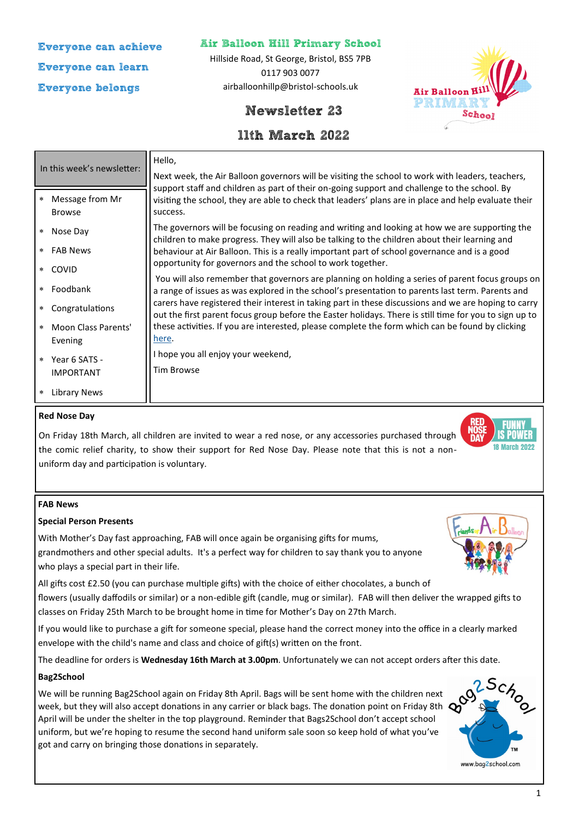**Everyone can achieve Everyone can learn Everyone belongs**

### **Air Balloon Hill Primary School**

Hillside Road, St George, Bristol, BS5 7PB 0117 903 0077 airballoonhillp@bristol-schools.uk





# **11th March 2022**

| In this week's newsletter: |                                  | Hello,                                                                                                                                                                                                                                                                                                                                                                                                                                                                                                                                                                                                                                                                                                                                                                                  |
|----------------------------|----------------------------------|-----------------------------------------------------------------------------------------------------------------------------------------------------------------------------------------------------------------------------------------------------------------------------------------------------------------------------------------------------------------------------------------------------------------------------------------------------------------------------------------------------------------------------------------------------------------------------------------------------------------------------------------------------------------------------------------------------------------------------------------------------------------------------------------|
|                            |                                  | Next week, the Air Balloon governors will be visiting the school to work with leaders, teachers,<br>support staff and children as part of their on-going support and challenge to the school. By                                                                                                                                                                                                                                                                                                                                                                                                                                                                                                                                                                                        |
| $\ast$                     | Message from Mr<br><b>Browse</b> | visiting the school, they are able to check that leaders' plans are in place and help evaluate their<br>success.                                                                                                                                                                                                                                                                                                                                                                                                                                                                                                                                                                                                                                                                        |
| $\star$                    | Nose Day                         | The governors will be focusing on reading and writing and looking at how we are supporting the<br>children to make progress. They will also be talking to the children about their learning and<br>behaviour at Air Balloon. This is a really important part of school governance and is a good<br>opportunity for governors and the school to work together.<br>You will also remember that governors are planning on holding a series of parent focus groups on<br>a range of issues as was explored in the school's presentation to parents last term. Parents and<br>carers have registered their interest in taking part in these discussions and we are hoping to carry<br>out the first parent focus group before the Easter holidays. There is still time for you to sign up to |
| $\ast$                     | <b>FAB News</b>                  |                                                                                                                                                                                                                                                                                                                                                                                                                                                                                                                                                                                                                                                                                                                                                                                         |
| $\ast$                     | <b>COVID</b>                     |                                                                                                                                                                                                                                                                                                                                                                                                                                                                                                                                                                                                                                                                                                                                                                                         |
|                            | Foodbank                         |                                                                                                                                                                                                                                                                                                                                                                                                                                                                                                                                                                                                                                                                                                                                                                                         |
| $\ast$                     | Congratulations                  |                                                                                                                                                                                                                                                                                                                                                                                                                                                                                                                                                                                                                                                                                                                                                                                         |
| $\ast$                     | Moon Class Parents'              | these activities. If you are interested, please complete the form which can be found by clicking                                                                                                                                                                                                                                                                                                                                                                                                                                                                                                                                                                                                                                                                                        |
|                            | Evening                          | here.                                                                                                                                                                                                                                                                                                                                                                                                                                                                                                                                                                                                                                                                                                                                                                                   |
| $*$                        | Year 6 SATS -                    | I hope you all enjoy your weekend,                                                                                                                                                                                                                                                                                                                                                                                                                                                                                                                                                                                                                                                                                                                                                      |
|                            | <b>IMPORTANT</b>                 | Tim Browse                                                                                                                                                                                                                                                                                                                                                                                                                                                                                                                                                                                                                                                                                                                                                                              |
| $\ast$                     | <b>Library News</b>              |                                                                                                                                                                                                                                                                                                                                                                                                                                                                                                                                                                                                                                                                                                                                                                                         |

#### **Red Nose Day**

On Friday 18th March, all children are invited to wear a red nose, or any accessories purchased through the comic relief charity, to show their support for Red Nose Day. Please note that this is not a nonuniform day and participation is voluntary.



#### **FAB News**

#### **Special Person Presents**

With Mother's Day fast approaching, FAB will once again be organising gifts for mums, grandmothers and other special adults. It's a perfect way for children to say thank you to anyone who plays a special part in their life.

All gifts cost £2.50 (you can purchase multiple gifts) with the choice of either chocolates, a bunch of flowers (usually daffodils or similar) or a non-edible gift (candle, mug or similar). FAB will then deliver the wrapped gifts to classes on Friday 25th March to be brought home in time for Mother's Day on 27th March.

If you would like to purchase a gift for someone special, please hand the correct money into the office in a clearly marked envelope with the child's name and class and choice of gift(s) written on the front.

The deadline for orders is **Wednesday 16th March at 3.00pm**. Unfortunately we can not accept orders after this date.

#### **Bag2School**

We will be running Bag2School again on Friday 8th April. Bags will be sent home with the children next week, but they will also accept donations in any carrier or black bags. The donation point on Friday 8th  $\mathbf{\Omega}$ April will be under the shelter in the top playground. Reminder that Bags2School don't accept school uniform, but we're hoping to resume the second hand uniform sale soon so keep hold of what you've got and carry on bringing those donations in separately.



www.bag2school.com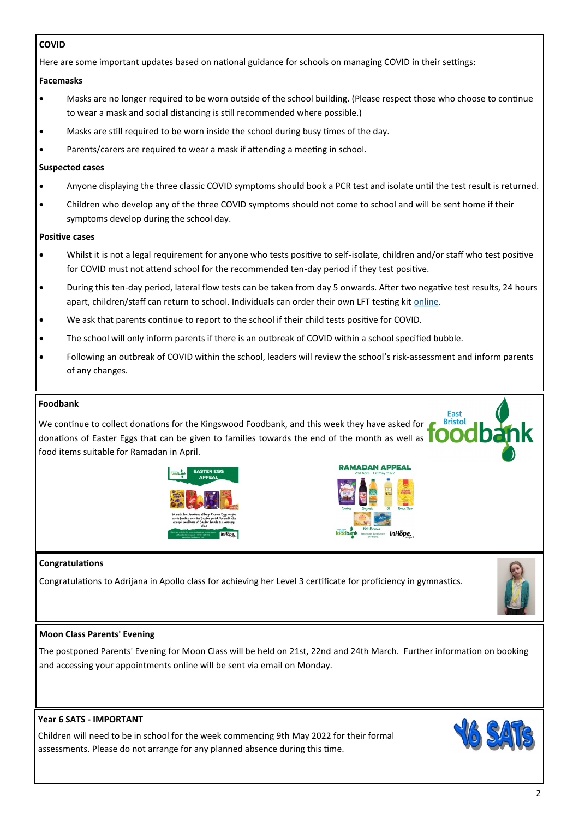### **COVID**

Here are some important updates based on national guidance for schools on managing COVID in their settings:

### **Facemasks**

- Masks are no longer required to be worn outside of the school building. (Please respect those who choose to continue to wear a mask and social distancing is still recommended where possible.)
- Masks are still required to be worn inside the school during busy times of the day.
- Parents/carers are required to wear a mask if attending a meeting in school.

#### **Suspected cases**

- Anyone displaying the three classic COVID symptoms should book a PCR test and isolate until the test result is returned.
- Children who develop any of the three COVID symptoms should not come to school and will be sent home if their symptoms develop during the school day.

#### **Positive cases**

- Whilst it is not a legal requirement for anyone who tests positive to self-isolate, children and/or staff who test positive for COVID must not attend school for the recommended ten-day period if they test positive.
- During this ten-day period, lateral flow tests can be taken from day 5 onwards. After two negative test results, 24 hours apart, children/staff can return to school. Individuals can order their own LFT testing kit [online.](https://www.gov.uk/order-coronavirus-rapid-lateral-flow-tests)
- We ask that parents continue to report to the school if their child tests positive for COVID.
- The school will only inform parents if there is an outbreak of COVID within a school specified bubble.
- Following an outbreak of COVID within the school, leaders will review the school's risk-assessment and inform parents of any changes.

### **Foodbank**

**Bristol** We continue to collect donations for the Kingswood Foodbank, and this week they have asked for donations of Easter Eggs that can be given to families towards the end of the month as well as food items suitable for Ramadan in April.





**RAMADAN APPEAL** 

Fast

#### **Congratulations**

Congratulations to Adrijana in Apollo class for achieving her Level 3 certificate for proficiency in gymnastics.



#### **Moon Class Parents' Evening**

The postponed Parents' Evening for Moon Class will be held on 21st, 22nd and 24th March. Further information on booking and accessing your appointments online will be sent via email on Monday.

## **Year 6 SATS - IMPORTANT**

Children will need to be in school for the week commencing 9th May 2022 for their formal assessments. Please do not arrange for any planned absence during this time.